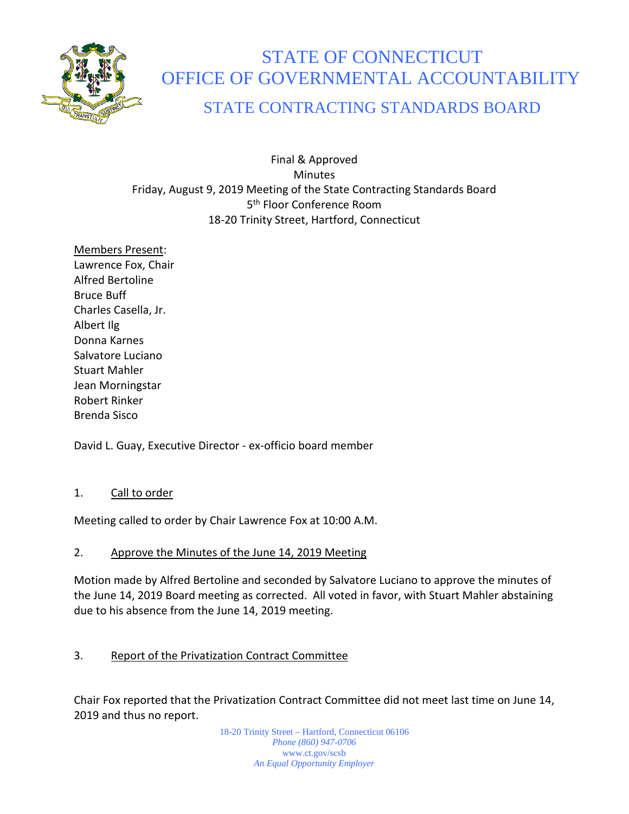

# STATE OF CONNECTICUT OFFICE OF GOVERNMENTAL ACCOUNTABILITY

# STATE CONTRACTING STANDARDS BOARD

Final & Approved **Minutes** Friday, August 9, 2019 Meeting of the State Contracting Standards Board 5<sup>th</sup> Floor Conference Room 18-20 Trinity Street, Hartford, Connecticut

Members Present: Lawrence Fox, Chair Alfred Bertoline Bruce Buff Charles Casella, Jr. Albert Ilg Donna Karnes Salvatore Luciano Stuart Mahler Jean Morningstar Robert Rinker Brenda Sisco

David L. Guay, Executive Director - ex-officio board member

## 1. Call to order

Meeting called to order by Chair Lawrence Fox at 10:00 A.M.

# 2. Approve the Minutes of the June 14, 2019 Meeting

Motion made by Alfred Bertoline and seconded by Salvatore Luciano to approve the minutes of the June 14, 2019 Board meeting as corrected. All voted in favor, with Stuart Mahler abstaining due to his absence from the June 14, 2019 meeting.

# 3. Report of the Privatization Contract Committee

Chair Fox reported that the Privatization Contract Committee did not meet last time on June 14, 2019 and thus no report.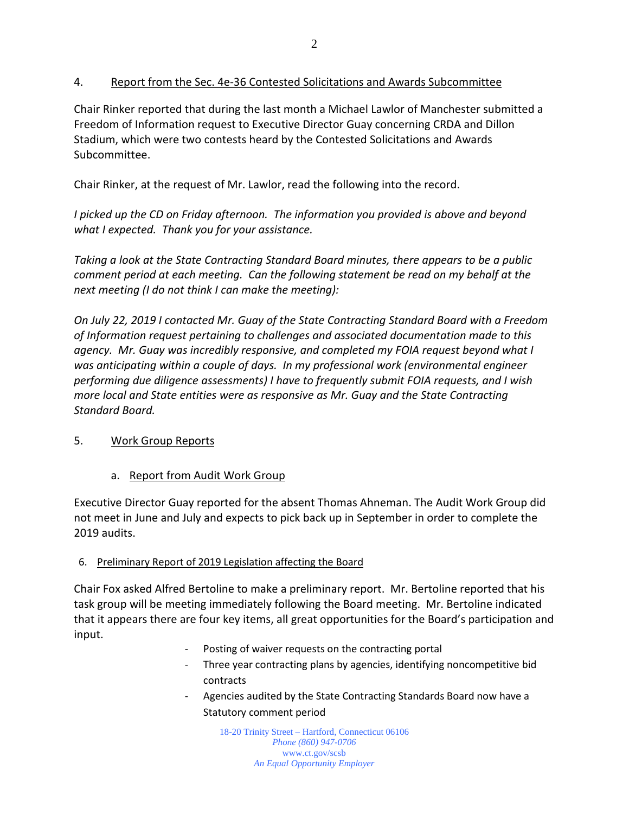# 4. Report from the Sec. 4e-36 Contested Solicitations and Awards Subcommittee

Chair Rinker reported that during the last month a Michael Lawlor of Manchester submitted a Freedom of Information request to Executive Director Guay concerning CRDA and Dillon Stadium, which were two contests heard by the Contested Solicitations and Awards Subcommittee.

Chair Rinker, at the request of Mr. Lawlor, read the following into the record.

*I picked up the CD on Friday afternoon. The information you provided is above and beyond what I expected. Thank you for your assistance.*

*Taking a look at the State Contracting Standard Board minutes, there appears to be a public comment period at each meeting. Can the following statement be read on my behalf at the next meeting (I do not think I can make the meeting):*

*On July 22, 2019 I contacted Mr. Guay of the State Contracting Standard Board with a Freedom of Information request pertaining to challenges and associated documentation made to this agency. Mr. Guay was incredibly responsive, and completed my FOIA request beyond what I was anticipating within a couple of days. In my professional work (environmental engineer performing due diligence assessments) I have to frequently submit FOIA requests, and I wish more local and State entities were as responsive as Mr. Guay and the State Contracting Standard Board.*

## 5. Work Group Reports

# a. Report from Audit Work Group

Executive Director Guay reported for the absent Thomas Ahneman. The Audit Work Group did not meet in June and July and expects to pick back up in September in order to complete the 2019 audits.

## 6. Preliminary Report of 2019 Legislation affecting the Board

Chair Fox asked Alfred Bertoline to make a preliminary report. Mr. Bertoline reported that his task group will be meeting immediately following the Board meeting. Mr. Bertoline indicated that it appears there are four key items, all great opportunities for the Board's participation and input.

- Posting of waiver requests on the contracting portal
- Three year contracting plans by agencies, identifying noncompetitive bid contracts
- Agencies audited by the State Contracting Standards Board now have a Statutory comment period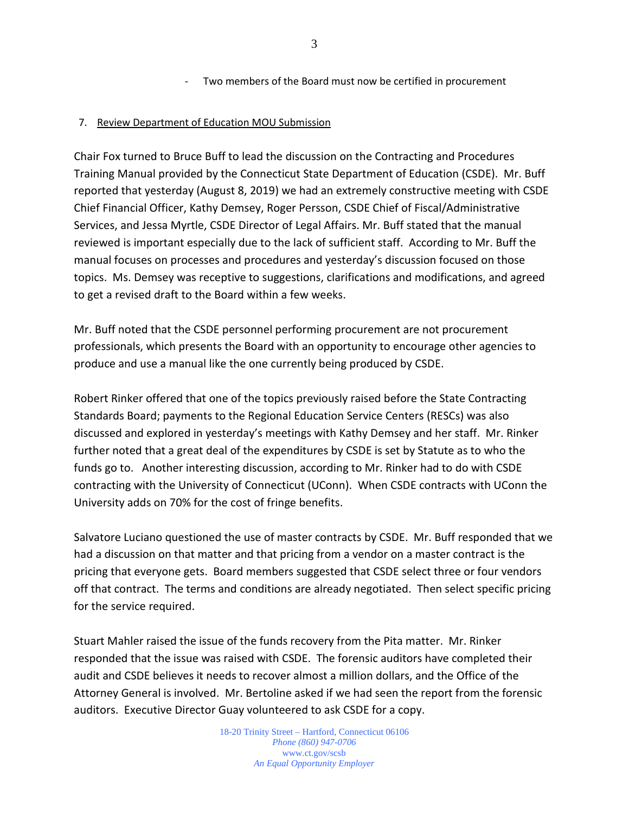- Two members of the Board must now be certified in procurement

#### 7. Review Department of Education MOU Submission

Chair Fox turned to Bruce Buff to lead the discussion on the Contracting and Procedures Training Manual provided by the Connecticut State Department of Education (CSDE). Mr. Buff reported that yesterday (August 8, 2019) we had an extremely constructive meeting with CSDE Chief Financial Officer, Kathy Demsey, Roger Persson, CSDE Chief of Fiscal/Administrative Services, and Jessa Myrtle, CSDE Director of Legal Affairs. Mr. Buff stated that the manual reviewed is important especially due to the lack of sufficient staff. According to Mr. Buff the manual focuses on processes and procedures and yesterday's discussion focused on those topics. Ms. Demsey was receptive to suggestions, clarifications and modifications, and agreed to get a revised draft to the Board within a few weeks.

Mr. Buff noted that the CSDE personnel performing procurement are not procurement professionals, which presents the Board with an opportunity to encourage other agencies to produce and use a manual like the one currently being produced by CSDE.

Robert Rinker offered that one of the topics previously raised before the State Contracting Standards Board; payments to the Regional Education Service Centers (RESCs) was also discussed and explored in yesterday's meetings with Kathy Demsey and her staff. Mr. Rinker further noted that a great deal of the expenditures by CSDE is set by Statute as to who the funds go to. Another interesting discussion, according to Mr. Rinker had to do with CSDE contracting with the University of Connecticut (UConn). When CSDE contracts with UConn the University adds on 70% for the cost of fringe benefits.

Salvatore Luciano questioned the use of master contracts by CSDE. Mr. Buff responded that we had a discussion on that matter and that pricing from a vendor on a master contract is the pricing that everyone gets. Board members suggested that CSDE select three or four vendors off that contract. The terms and conditions are already negotiated. Then select specific pricing for the service required.

Stuart Mahler raised the issue of the funds recovery from the Pita matter. Mr. Rinker responded that the issue was raised with CSDE. The forensic auditors have completed their audit and CSDE believes it needs to recover almost a million dollars, and the Office of the Attorney General is involved. Mr. Bertoline asked if we had seen the report from the forensic auditors. Executive Director Guay volunteered to ask CSDE for a copy.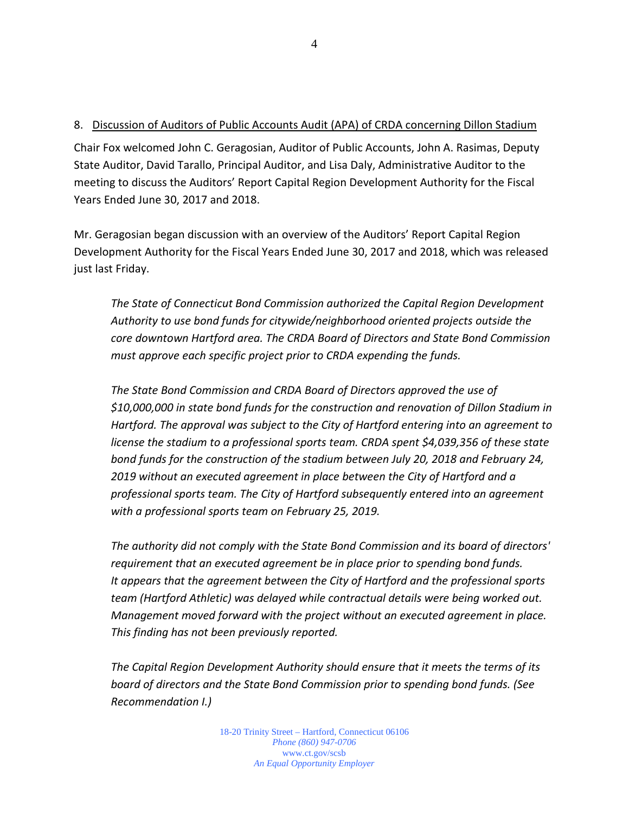#### 8. Discussion of Auditors of Public Accounts Audit (APA) of CRDA concerning Dillon Stadium

Chair Fox welcomed John C. Geragosian, Auditor of Public Accounts, John A. Rasimas, Deputy State Auditor, David Tarallo, Principal Auditor, and Lisa Daly, Administrative Auditor to the meeting to discuss the Auditors' Report Capital Region Development Authority for the Fiscal Years Ended June 30, 2017 and 2018.

Mr. Geragosian began discussion with an overview of the Auditors' Report Capital Region Development Authority for the Fiscal Years Ended June 30, 2017 and 2018, which was released just last Friday.

*The State of Connecticut Bond Commission authorized the Capital Region Development Authority to use bond funds for citywide/neighborhood oriented projects outside the core downtown Hartford area. The CRDA Board of Directors and State Bond Commission must approve each specific project prior to CRDA expending the funds.*

*The State Bond Commission and CRDA Board of Directors approved the use of \$10,000,000 in state bond funds for the construction and renovation of Dillon Stadium in Hartford. The approval was subject to the City of Hartford entering into an agreement to license the stadium to a professional sports team. CRDA spent \$4,039,356 of these state bond funds for the construction of the stadium between July 20, 2018 and February 24, 2019 without an executed agreement in place between the City of Hartford and a professional sports team. The City of Hartford subsequently entered into an agreement with a professional sports team on February 25, 2019.*

*The authority did not comply with the State Bond Commission and its board of directors' requirement that an executed agreement be in place prior to spending bond funds. It appears that the agreement between the City of Hartford and the professional sports team (Hartford Athletic) was delayed while contractual details were being worked out. Management moved forward with the project without an executed agreement in place. This finding has not been previously reported.*

*The Capital Region Development Authority should ensure that it meets the terms of its board of directors and the State Bond Commission prior to spending bond funds. (See Recommendation I.)*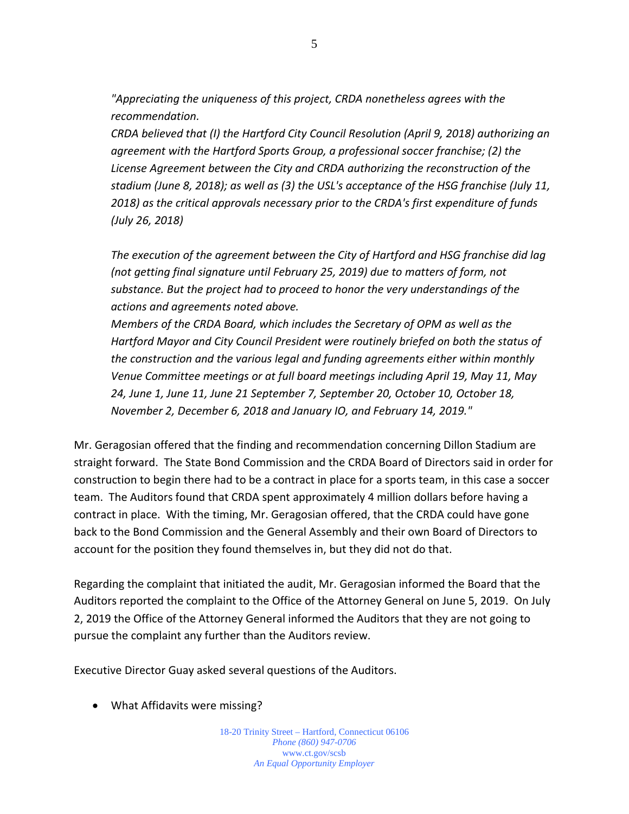*"Appreciating the uniqueness of this project, CRDA nonetheless agrees with the recommendation.* 

*CRDA believed that (I) the Hartford City Council Resolution (April 9, 2018) authorizing an agreement with the Hartford Sports Group, a professional soccer franchise; (2) the License Agreement between the City and CRDA authorizing the reconstruction of the stadium (June 8, 2018); as well as (3) the USL's acceptance of the HSG franchise (July 11, 2018) as the critical approvals necessary prior to the CRDA's first expenditure of funds (July 26, 2018)* 

*The execution of the agreement between the City of Hartford and HSG franchise did lag (not getting final signature until February 25, 2019) due to matters of form, not substance. But the project had to proceed to honor the very understandings of the actions and agreements noted above.* 

*Members of the CRDA Board, which includes the Secretary of OPM as well as the Hartford Mayor and City Council President were routinely briefed on both the status of the construction and the various legal and funding agreements either within monthly Venue Committee meetings or at full board meetings including April 19, May 11, May 24, June 1, June 11, June 21 September 7, September 20, October 10, October 18, November 2, December 6, 2018 and January IO, and February 14, 2019."* 

Mr. Geragosian offered that the finding and recommendation concerning Dillon Stadium are straight forward. The State Bond Commission and the CRDA Board of Directors said in order for construction to begin there had to be a contract in place for a sports team, in this case a soccer team. The Auditors found that CRDA spent approximately 4 million dollars before having a contract in place. With the timing, Mr. Geragosian offered, that the CRDA could have gone back to the Bond Commission and the General Assembly and their own Board of Directors to account for the position they found themselves in, but they did not do that.

Regarding the complaint that initiated the audit, Mr. Geragosian informed the Board that the Auditors reported the complaint to the Office of the Attorney General on June 5, 2019. On July 2, 2019 the Office of the Attorney General informed the Auditors that they are not going to pursue the complaint any further than the Auditors review.

Executive Director Guay asked several questions of the Auditors.

• What Affidavits were missing?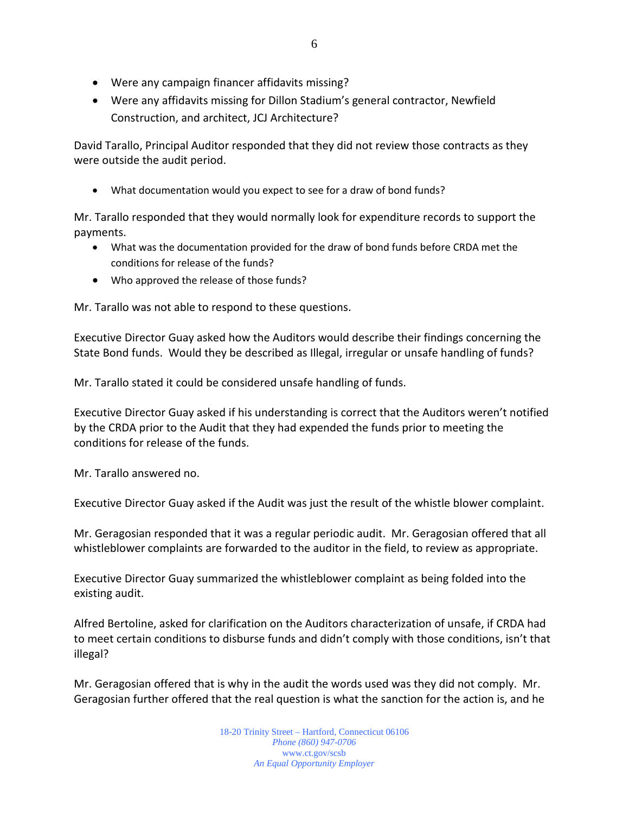- Were any campaign financer affidavits missing?
- Were any affidavits missing for Dillon Stadium's general contractor, Newfield Construction, and architect, JCJ Architecture?

David Tarallo, Principal Auditor responded that they did not review those contracts as they were outside the audit period.

• What documentation would you expect to see for a draw of bond funds?

Mr. Tarallo responded that they would normally look for expenditure records to support the payments.

- What was the documentation provided for the draw of bond funds before CRDA met the conditions for release of the funds?
- Who approved the release of those funds?

Mr. Tarallo was not able to respond to these questions.

Executive Director Guay asked how the Auditors would describe their findings concerning the State Bond funds. Would they be described as Illegal, irregular or unsafe handling of funds?

Mr. Tarallo stated it could be considered unsafe handling of funds.

Executive Director Guay asked if his understanding is correct that the Auditors weren't notified by the CRDA prior to the Audit that they had expended the funds prior to meeting the conditions for release of the funds.

Mr. Tarallo answered no.

Executive Director Guay asked if the Audit was just the result of the whistle blower complaint.

Mr. Geragosian responded that it was a regular periodic audit. Mr. Geragosian offered that all whistleblower complaints are forwarded to the auditor in the field, to review as appropriate.

Executive Director Guay summarized the whistleblower complaint as being folded into the existing audit.

Alfred Bertoline, asked for clarification on the Auditors characterization of unsafe, if CRDA had to meet certain conditions to disburse funds and didn't comply with those conditions, isn't that illegal?

Mr. Geragosian offered that is why in the audit the words used was they did not comply. Mr. Geragosian further offered that the real question is what the sanction for the action is, and he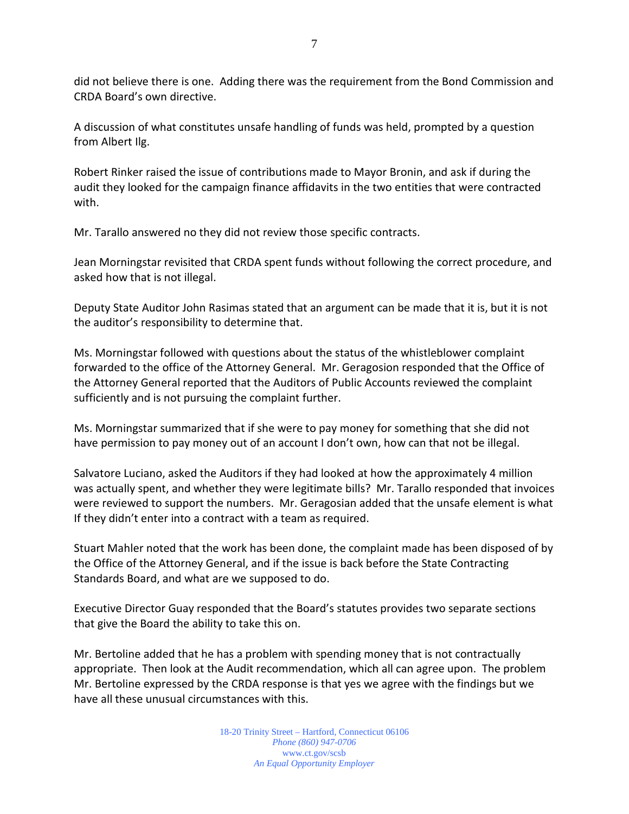did not believe there is one. Adding there was the requirement from the Bond Commission and CRDA Board's own directive.

A discussion of what constitutes unsafe handling of funds was held, prompted by a question from Albert Ilg.

Robert Rinker raised the issue of contributions made to Mayor Bronin, and ask if during the audit they looked for the campaign finance affidavits in the two entities that were contracted with.

Mr. Tarallo answered no they did not review those specific contracts.

Jean Morningstar revisited that CRDA spent funds without following the correct procedure, and asked how that is not illegal.

Deputy State Auditor John Rasimas stated that an argument can be made that it is, but it is not the auditor's responsibility to determine that.

Ms. Morningstar followed with questions about the status of the whistleblower complaint forwarded to the office of the Attorney General. Mr. Geragosion responded that the Office of the Attorney General reported that the Auditors of Public Accounts reviewed the complaint sufficiently and is not pursuing the complaint further.

Ms. Morningstar summarized that if she were to pay money for something that she did not have permission to pay money out of an account I don't own, how can that not be illegal.

Salvatore Luciano, asked the Auditors if they had looked at how the approximately 4 million was actually spent, and whether they were legitimate bills? Mr. Tarallo responded that invoices were reviewed to support the numbers. Mr. Geragosian added that the unsafe element is what If they didn't enter into a contract with a team as required.

Stuart Mahler noted that the work has been done, the complaint made has been disposed of by the Office of the Attorney General, and if the issue is back before the State Contracting Standards Board, and what are we supposed to do.

Executive Director Guay responded that the Board's statutes provides two separate sections that give the Board the ability to take this on.

Mr. Bertoline added that he has a problem with spending money that is not contractually appropriate. Then look at the Audit recommendation, which all can agree upon. The problem Mr. Bertoline expressed by the CRDA response is that yes we agree with the findings but we have all these unusual circumstances with this.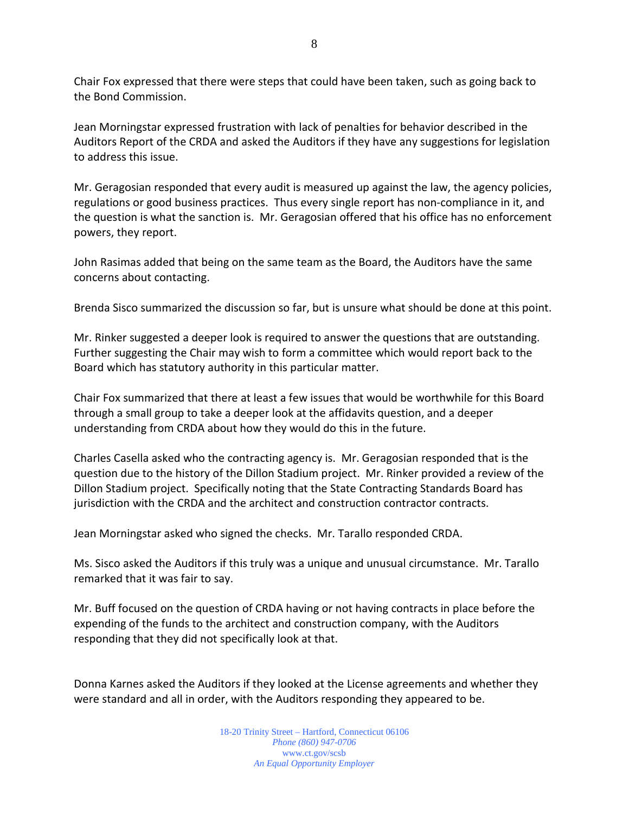Chair Fox expressed that there were steps that could have been taken, such as going back to the Bond Commission.

Jean Morningstar expressed frustration with lack of penalties for behavior described in the Auditors Report of the CRDA and asked the Auditors if they have any suggestions for legislation to address this issue.

Mr. Geragosian responded that every audit is measured up against the law, the agency policies, regulations or good business practices. Thus every single report has non-compliance in it, and the question is what the sanction is. Mr. Geragosian offered that his office has no enforcement powers, they report.

John Rasimas added that being on the same team as the Board, the Auditors have the same concerns about contacting.

Brenda Sisco summarized the discussion so far, but is unsure what should be done at this point.

Mr. Rinker suggested a deeper look is required to answer the questions that are outstanding. Further suggesting the Chair may wish to form a committee which would report back to the Board which has statutory authority in this particular matter.

Chair Fox summarized that there at least a few issues that would be worthwhile for this Board through a small group to take a deeper look at the affidavits question, and a deeper understanding from CRDA about how they would do this in the future.

Charles Casella asked who the contracting agency is. Mr. Geragosian responded that is the question due to the history of the Dillon Stadium project. Mr. Rinker provided a review of the Dillon Stadium project. Specifically noting that the State Contracting Standards Board has jurisdiction with the CRDA and the architect and construction contractor contracts.

Jean Morningstar asked who signed the checks. Mr. Tarallo responded CRDA.

Ms. Sisco asked the Auditors if this truly was a unique and unusual circumstance. Mr. Tarallo remarked that it was fair to say.

Mr. Buff focused on the question of CRDA having or not having contracts in place before the expending of the funds to the architect and construction company, with the Auditors responding that they did not specifically look at that.

Donna Karnes asked the Auditors if they looked at the License agreements and whether they were standard and all in order, with the Auditors responding they appeared to be.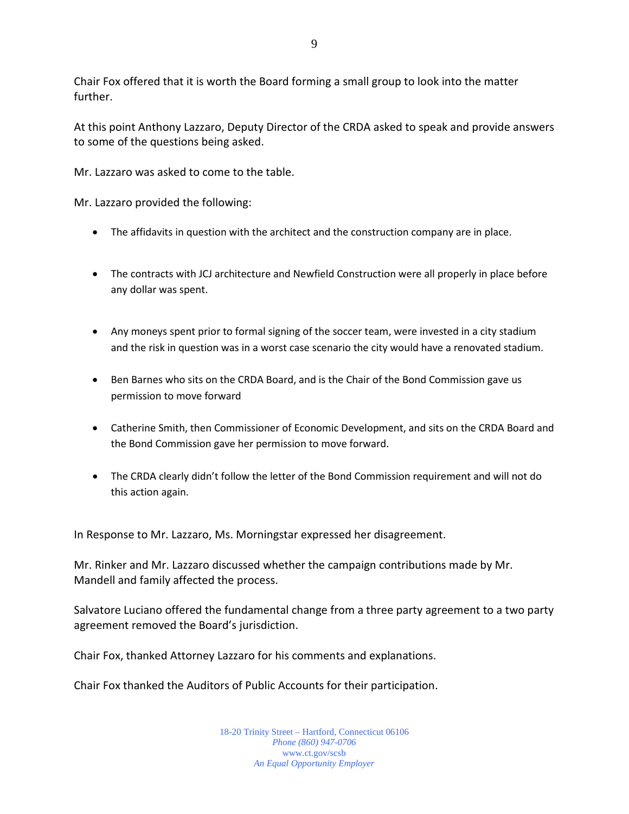Chair Fox offered that it is worth the Board forming a small group to look into the matter further.

At this point Anthony Lazzaro, Deputy Director of the CRDA asked to speak and provide answers to some of the questions being asked.

Mr. Lazzaro was asked to come to the table.

Mr. Lazzaro provided the following:

- The affidavits in question with the architect and the construction company are in place.
- The contracts with JCJ architecture and Newfield Construction were all properly in place before any dollar was spent.
- Any moneys spent prior to formal signing of the soccer team, were invested in a city stadium and the risk in question was in a worst case scenario the city would have a renovated stadium.
- Ben Barnes who sits on the CRDA Board, and is the Chair of the Bond Commission gave us permission to move forward
- Catherine Smith, then Commissioner of Economic Development, and sits on the CRDA Board and the Bond Commission gave her permission to move forward.
- The CRDA clearly didn't follow the letter of the Bond Commission requirement and will not do this action again.

In Response to Mr. Lazzaro, Ms. Morningstar expressed her disagreement.

Mr. Rinker and Mr. Lazzaro discussed whether the campaign contributions made by Mr. Mandell and family affected the process.

Salvatore Luciano offered the fundamental change from a three party agreement to a two party agreement removed the Board's jurisdiction.

Chair Fox, thanked Attorney Lazzaro for his comments and explanations.

Chair Fox thanked the Auditors of Public Accounts for their participation.